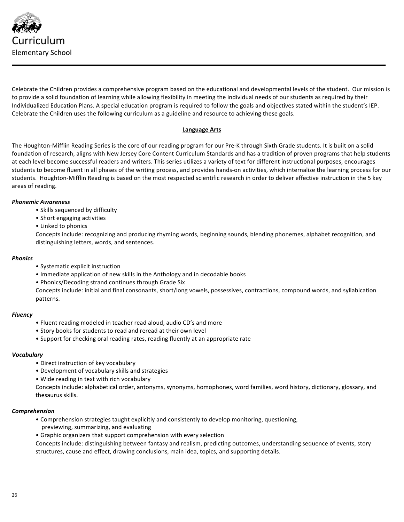

Celebrate the Children provides a comprehensive program based on the educational and developmental levels of the student. Our mission is to provide a solid foundation of learning while allowing flexibility in meeting the individual needs of our students as required by their Individualized Education Plans. A special education program is required to follow the goals and objectives stated within the student's IEP. Celebrate the Children uses the following curriculum as a guideline and resource to achieving these goals.

# **Language Arts**

The Houghton-Mifflin Reading Series is the core of our reading program for our Pre-K through Sixth Grade students. It is built on a solid foundation of research, aligns with New Jersey Core Content Curriculum Standards and has a tradition of proven programs that help students at each level become successful readers and writers. This series utilizes a variety of text for different instructional purposes, encourages students to become fluent in all phases of the writing process, and provides hands-on activities, which internalize the learning process for our students. Houghton-Mifflin Reading is based on the most respected scientific research in order to deliver effective instruction in the 5 key areas of reading.

## *Phonemic Awareness*

- Skills sequenced by difficulty
- Short engaging activities
- Linked to phonics

Concepts include: recognizing and producing rhyming words, beginning sounds, blending phonemes, alphabet recognition, and distinguishing letters, words, and sentences.

#### *Phonics*

- Systematic explicit instruction
- Immediate application of new skills in the Anthology and in decodable books
- Phonics/Decoding strand continues through Grade Six

Concepts include: initial and final consonants, short/long vowels, possessives, contractions, compound words, and syllabication patterns.

## *Fluency*

- Fluent reading modeled in teacher read aloud, audio CD's and more
- Story books for students to read and reread at their own level
- Support for checking oral reading rates, reading fluently at an appropriate rate

## *Vocabulary*

- Direct instruction of key vocabulary
- Development of vocabulary skills and strategies
- Wide reading in text with rich vocabulary

Concepts include: alphabetical order, antonyms, synonyms, homophones, word families, word history, dictionary, glossary, and thesaurus skills.

## *Comprehension*

- Comprehension strategies taught explicitly and consistently to develop monitoring, questioning, previewing, summarizing, and evaluating
- Graphic organizers that support comprehension with every selection

Concepts include: distinguishing between fantasy and realism, predicting outcomes, understanding sequence of events, story structures, cause and effect, drawing conclusions, main idea, topics, and supporting details.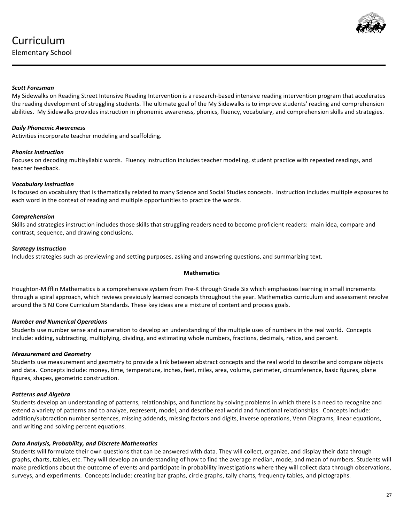

# **Scott Foresman**

My Sidewalks on Reading Street Intensive Reading Intervention is a research-based intensive reading intervention program that accelerates the reading development of struggling students. The ultimate goal of the My Sidewalks is to improve students' reading and comprehension abilities. My Sidewalks provides instruction in phonemic awareness, phonics, fluency, vocabulary, and comprehension skills and strategies.

# *Daily Phonemic Awareness*

Activities incorporate teacher modeling and scaffolding.

# *Phonics Instruction*

Focuses on decoding multisyllabic words. Fluency instruction includes teacher modeling, student practice with repeated readings, and teacher feedback.

# *Vocabulary Instruction*

Is focused on vocabulary that is thematically related to many Science and Social Studies concepts. Instruction includes multiple exposures to each word in the context of reading and multiple opportunities to practice the words.

# *Comprehension*

Skills and strategies instruction includes those skills that struggling readers need to become proficient readers: main idea, compare and contrast, sequence, and drawing conclusions.

## *Strategy Instruction*

Includes strategies such as previewing and setting purposes, asking and answering questions, and summarizing text.

## **Mathematics**

Houghton-Mifflin Mathematics is a comprehensive system from Pre-K through Grade Six which emphasizes learning in small increments through a spiral approach, which reviews previously learned concepts throughout the year. Mathematics curriculum and assessment revolve around the 5 NJ Core Curriculum Standards. These key ideas are a mixture of content and process goals.

## *Number and Numerical Operations*

Students use number sense and numeration to develop an understanding of the multiple uses of numbers in the real world. Concepts include: adding, subtracting, multiplying, dividing, and estimating whole numbers, fractions, decimals, ratios, and percent.

## *Measurement and Geometry*

Students use measurement and geometry to provide a link between abstract concepts and the real world to describe and compare objects and data. Concepts include: money, time, temperature, inches, feet, miles, area, volume, perimeter, circumference, basic figures, plane figures, shapes, geometric construction.

# *Patterns and Algebra*

Students develop an understanding of patterns, relationships, and functions by solving problems in which there is a need to recognize and extend a variety of patterns and to analyze, represent, model, and describe real world and functional relationships. Concepts include: addition/subtraction number sentences, missing addends, missing factors and digits, inverse operations, Venn Diagrams, linear equations, and writing and solving percent equations.

# *Data Analysis, Probability, and Discrete Mathematics*

Students will formulate their own questions that can be answered with data. They will collect, organize, and display their data through graphs, charts, tables, etc. They will develop an understanding of how to find the average median, mode, and mean of numbers. Students will make predictions about the outcome of events and participate in probability investigations where they will collect data through observations, surveys, and experiments. Concepts include: creating bar graphs, circle graphs, tally charts, frequency tables, and pictographs.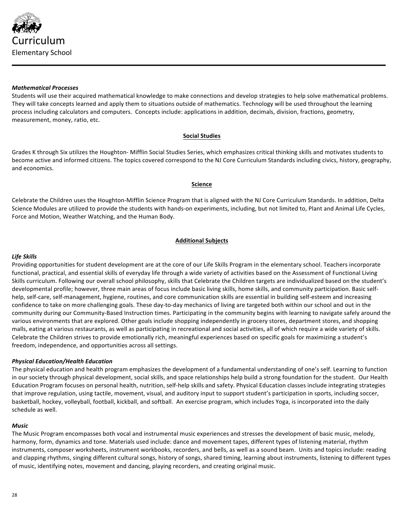

## *Mathematical Processes*

Students will use their acquired mathematical knowledge to make connections and develop strategies to help solve mathematical problems. They will take concepts learned and apply them to situations outside of mathematics. Technology will be used throughout the learning process including calculators and computers. Concepts include: applications in addition, decimals, division, fractions, geometry, measurement, money, ratio, etc.

# **Social Studies**

Grades K through Six utilizes the Houghton- Mifflin Social Studies Series, which emphasizes critical thinking skills and motivates students to become active and informed citizens. The topics covered correspond to the NJ Core Curriculum Standards including civics, history, geography, and economics.

## **Science**

Celebrate the Children uses the Houghton-Mifflin Science Program that is aligned with the NJ Core Curriculum Standards. In addition, Delta Science Modules are utilized to provide the students with hands-on experiments, including, but not limited to, Plant and Animal Life Cycles, Force and Motion, Weather Watching, and the Human Body.

## **Additional Subjects**

## *Life Skills*

Providing opportunities for student development are at the core of our Life Skills Program in the elementary school. Teachers incorporate functional, practical, and essential skills of everyday life through a wide variety of activities based on the Assessment of Functional Living Skills curriculum. Following our overall school philosophy, skills that Celebrate the Children targets are individualized based on the student's developmental profile; however, three main areas of focus include basic living skills, home skills, and community participation. Basic selfhelp, self-care, self-management, hygiene, routines, and core communication skills are essential in building self-esteem and increasing confidence to take on more challenging goals. These day-to-day mechanics of living are targeted both within our school and out in the community during our Community-Based Instruction times. Participating in the community begins with learning to navigate safely around the various environments that are explored. Other goals include shopping independently in grocery stores, department stores, and shopping malls, eating at various restaurants, as well as participating in recreational and social activities, all of which require a wide variety of skills. Celebrate the Children strives to provide emotionally rich, meaningful experiences based on specific goals for maximizing a student's freedom, independence, and opportunities across all settings.

## *Physical Education/Health Education*

The physical education and health program emphasizes the development of a fundamental understanding of one's self. Learning to function in our society through physical development, social skills, and space relationships help build a strong foundation for the student. Our Health Education Program focuses on personal health, nutrition, self-help skills and safety. Physical Education classes include integrating strategies that improve regulation, using tactile, movement, visual, and auditory input to support student's participation in sports, including soccer, basketball, hockey, volleyball, football, kickball, and softball. An exercise program, which includes Yoga, is incorporated into the daily schedule as well.

## *Music*

The Music Program encompasses both vocal and instrumental music experiences and stresses the development of basic music, melody, harmony, form, dynamics and tone. Materials used include: dance and movement tapes, different types of listening material, rhythm instruments, composer worksheets, instrument workbooks, recorders, and bells, as well as a sound beam. Units and topics include: reading and clapping rhythms, singing different cultural songs, history of songs, shared timing, learning about instruments, listening to different types of music, identifying notes, movement and dancing, playing recorders, and creating original music.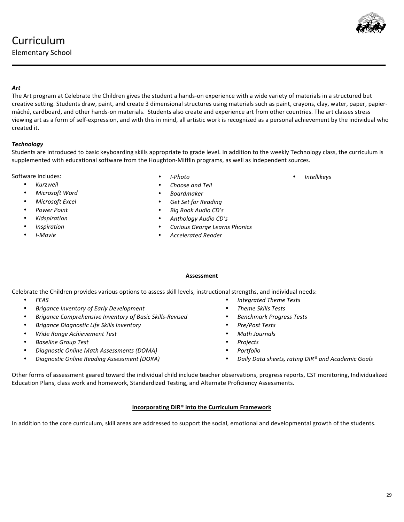# Curriculum

Elementary School

# *Art*

The Art program at Celebrate the Children gives the student a hands-on experience with a wide variety of materials in a structured but creative setting. Students draw, paint, and create 3 dimensional structures using materials such as paint, crayons, clay, water, paper, papiermâché, cardboard, and other hands-on materials. Students also create and experience art from other countries. The art classes stress viewing art as a form of self-expression, and with this in mind, all artistic work is recognized as a personal achievement by the individual who created it.

# *Technology*

Students are introduced to basic keyboarding skills appropriate to grade level. In addition to the weekly Technology class, the curriculum is supplemented with educational software from the Houghton-Mifflin programs, as well as independent sources.

Software includes:

- *Kurzweil*
- *Microsoft Word*
- *Microsoft Excel*
- *Power Point*
- *Kidspiration*
- *Inspiration*
- *I-Movie*
- *I-Photo*
- *Choose and Tell*
- *Boardmaker*
- *Get Set for Reading*
- *Big Book Audio CD's*
- *Anthology Audio CD's*
- *Curious George Learns Phonics*
- 

# **Assessment**

Celebrate the Children provides various options to assess skill levels, instructional strengths, and individual needs:

- *FEAS*
- *Brigance Inventory of Early Development*
- *Brigance Comprehensive Inventory of Basic Skills-Revised*
- *Brigance Diagnostic Life Skills Inventory*
- *Wide Range Achievement Test*
- *Baseline Group Test*
- *Diagnostic Online Math Assessments (DOMA)*
- *Diagnostic Online Reading Assessment (DORA)*
- *Integrated Theme Tests*
- *Theme Skills Tests*
- *Benchmark Progress Tests*
- *Pre/Post Tests*
- *Math Journals*
- *Projects*
- *Portfolio*
- *Daily Data sheets, rating DIR® and Academic Goals*

Other forms of assessment geared toward the individual child include teacher observations, progress reports, CST monitoring, Individualized Education Plans, class work and homework, Standardized Testing, and Alternate Proficiency Assessments.

# **Incorporating DIR® into the Curriculum Framework**

In addition to the core curriculum, skill areas are addressed to support the social, emotional and developmental growth of the students.



• *Intellikeys*

- 
- 
- 
- *Accelerated Reader*
- 
- 
- -
	-
	-